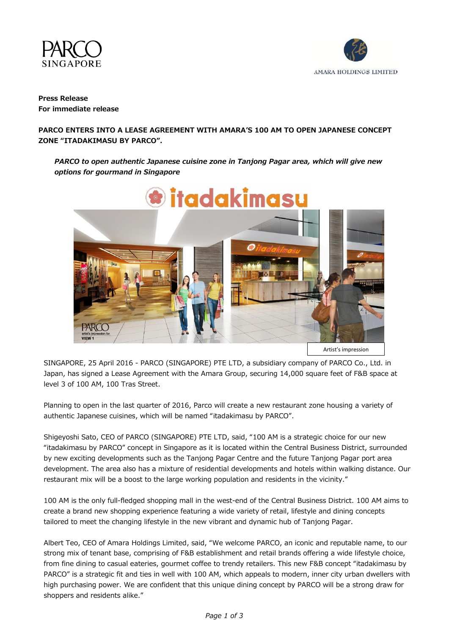



# **Press Release For immediate release**

## **PARCO ENTERS INTO A LEASE AGREEMENT WITH AMARA'S 100 AM TO OPEN JAPANESE CONCEPT ZONE "ITADAKIMASU BY PARCO".**

# *PARCO to open authentic Japanese cuisine zone in Tanjong Pagar area, which will give new options for gourmand in Singapore*



SINGAPORE, 25 April 2016 - PARCO (SINGAPORE) PTE LTD, a subsidiary company of PARCO Co., Ltd. in Japan, has signed a Lease Agreement with the Amara Group, securing 14,000 square feet of F&B space at level 3 of 100 AM, 100 Tras Street.

Planning to open in the last quarter of 2016, Parco will create a new restaurant zone housing a variety of authentic Japanese cuisines, which will be named "itadakimasu by PARCO".

Shigeyoshi Sato, CEO of PARCO (SINGAPORE) PTE LTD, said, "100 AM is a strategic choice for our new "itadakimasu by PARCO" concept in Singapore as it is located within the Central Business District, surrounded by new exciting developments such as the Tanjong Pagar Centre and the future Tanjong Pagar port area development. The area also has a mixture of residential developments and hotels within walking distance. Our restaurant mix will be a boost to the large working population and residents in the vicinity."

100 AM is the only full-fledged shopping mall in the west-end of the Central Business District. 100 AM aims to create a brand new shopping experience featuring a wide variety of retail, lifestyle and dining concepts tailored to meet the changing lifestyle in the new vibrant and dynamic hub of Tanjong Pagar.

Albert Teo, CEO of Amara Holdings Limited, said, "We welcome PARCO, an iconic and reputable name, to our strong mix of tenant base, comprising of F&B establishment and retail brands offering a wide lifestyle choice, from fine dining to casual eateries, gourmet coffee to trendy retailers. This new F&B concept "itadakimasu by PARCO" is a strategic fit and ties in well with 100 AM, which appeals to modern, inner city urban dwellers with high purchasing power. We are confident that this unique dining concept by PARCO will be a strong draw for shoppers and residents alike."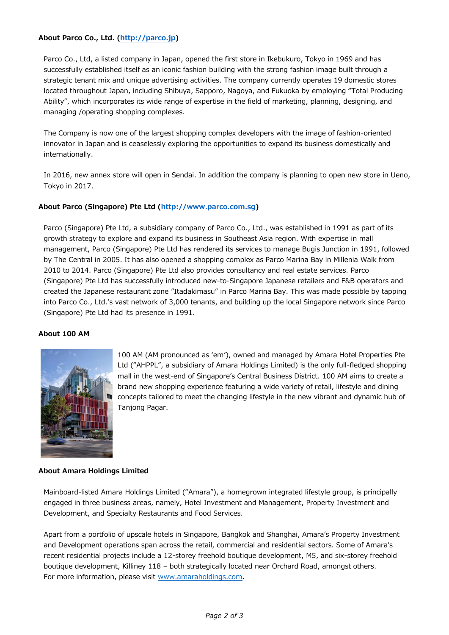## **About Parco Co., Ltd. [\(http://parco.jp\)](http://parco.jp/)**

Parco Co., Ltd, a listed company in Japan, opened the first store in Ikebukuro, Tokyo in 1969 and has successfully established itself as an iconic fashion building with the strong fashion image built through a strategic tenant mix and unique advertising activities. The company currently operates 19 domestic stores located throughout Japan, including Shibuya, Sapporo, Nagoya, and Fukuoka by employing "Total Producing Ability", which incorporates its wide range of expertise in the field of marketing, planning, designing, and managing /operating shopping complexes.

The Company is now one of the largest shopping complex developers with the image of fashion-oriented innovator in Japan and is ceaselessly exploring the opportunities to expand its business domestically and internationally.

In 2016, new annex store will open in Sendai. In addition the company is planning to open new store in Ueno, Tokyo in 2017.

### **About Parco (Singapore) Pte Ltd [\(http://www.parco.com.sg\)](http://www.parco.com.sg/)**

Parco (Singapore) Pte Ltd, a subsidiary company of Parco Co., Ltd., was established in 1991 as part of its growth strategy to explore and expand its business in Southeast Asia region. With expertise in mall management, Parco (Singapore) Pte Ltd has rendered its services to manage Bugis Junction in 1991, followed by The Central in 2005. It has also opened a shopping complex as Parco Marina Bay in Millenia Walk from 2010 to 2014. Parco (Singapore) Pte Ltd also provides consultancy and real estate services. Parco (Singapore) Pte Ltd has successfully introduced new-to-Singapore Japanese retailers and F&B operators and created the Japanese restaurant zone "Itadakimasu" in Parco Marina Bay. This was made possible by tapping into Parco Co., Ltd.'s vast network of 3,000 tenants, and building up the local Singapore network since Parco (Singapore) Pte Ltd had its presence in 1991.

### **About 100 AM**



100 AM (AM pronounced as 'em'), owned and managed by Amara Hotel Properties Pte Ltd ("AHPPL", a subsidiary of Amara Holdings Limited) is the only full-fledged shopping mall in the west-end of Singapore's Central Business District. 100 AM aims to create a brand new shopping experience featuring a wide variety of retail, lifestyle and dining concepts tailored to meet the changing lifestyle in the new vibrant and dynamic hub of Tanjong Pagar.

### **About Amara Holdings Limited**

Mainboard-listed Amara Holdings Limited ("Amara"), a homegrown integrated lifestyle group, is principally engaged in three business areas, namely, Hotel Investment and Management, Property Investment and Development, and Specialty Restaurants and Food Services.

Apart from a portfolio of upscale hotels in Singapore, Bangkok and Shanghai, Amara's Property Investment and Development operations span across the retail, commercial and residential sectors. Some of Amara's recent residential projects include a 12-storey freehold boutique development, M5, and six-storey freehold boutique development, Killiney 118 – both strategically located near Orchard Road, amongst others. For more information, please visit [www.amaraholdings.com.](http://www.amaraholdings.com/)